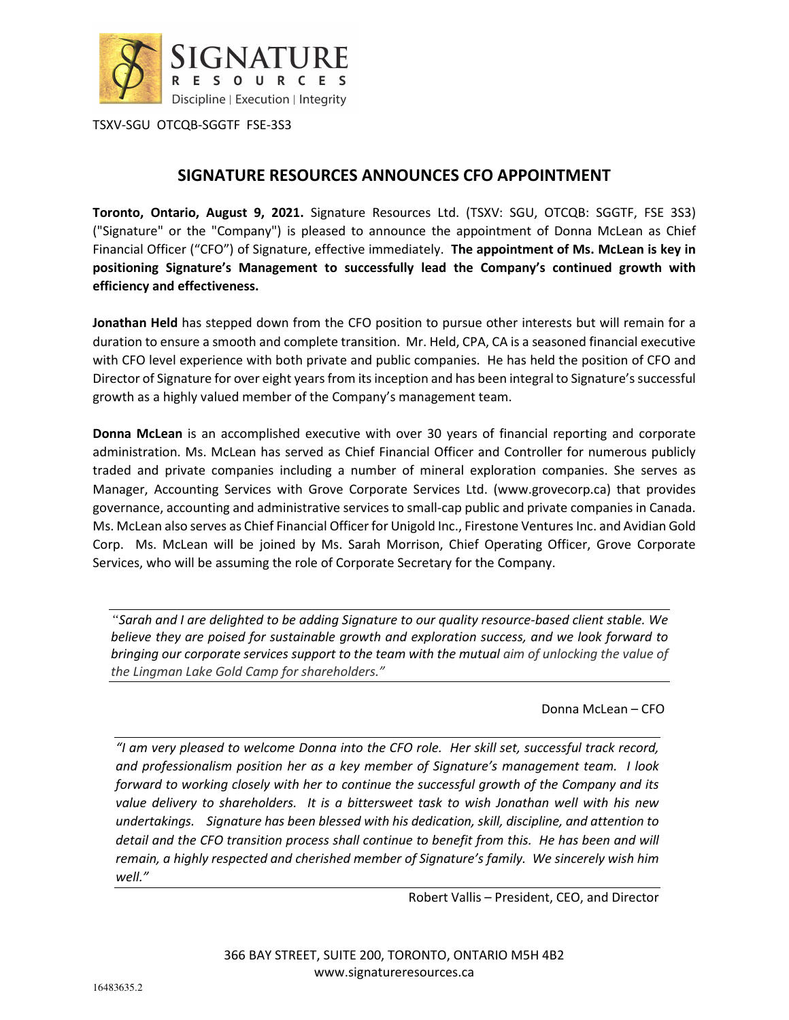

TSXV-SGU OTCQB-SGGTF FSE-3S3

## **SIGNATURE RESOURCES ANNOUNCES CFO APPOINTMENT**

**Toronto, Ontario, August 9, 2021.** Signature Resources Ltd. (TSXV: SGU, OTCQB: SGGTF, FSE 3S3) ("Signature" or the "Company") is pleased to announce the appointment of Donna McLean as Chief Financial Officer ("CFO") of Signature, effective immediately. **The appointment of Ms. McLean is key in positioning Signature's Management to successfully lead the Company's continued growth with efficiency and effectiveness.** 

**Jonathan Held** has stepped down from the CFO position to pursue other interests but will remain for a duration to ensure a smooth and complete transition. Mr. Held, CPA, CA is a seasoned financial executive with CFO level experience with both private and public companies. He has held the position of CFO and Director of Signature for over eight years from its inception and has been integral to Signature's successful growth as a highly valued member of the Company's management team.

**Donna McLean** is an accomplished executive with over 30 years of financial reporting and corporate administration. Ms. McLean has served as Chief Financial Officer and Controller for numerous publicly traded and private companies including a number of mineral exploration companies. She serves as Manager, Accounting Services with Grove Corporate Services Ltd. (www.grovecorp.ca) that provides governance, accounting and administrative services to small-cap public and private companies in Canada. Ms. McLean also serves as Chief Financial Officer for Unigold Inc., Firestone Ventures Inc. and Avidian Gold Corp. Ms. McLean will be joined by Ms. Sarah Morrison, Chief Operating Officer, Grove Corporate Services, who will be assuming the role of Corporate Secretary for the Company.

*"Sarah and I are delighted to be adding Signature to our quality resource-based client stable. We believe they are poised for sustainable growth and exploration success, and we look forward to bringing our corporate services support to the team with the mutual aim of unlocking the value of the Lingman Lake Gold Camp for shareholders."* 

Donna McLean – CFO

*"I am very pleased to welcome Donna into the CFO role. Her skill set, successful track record, and professionalism position her as a key member of Signature's management team. I look forward to working closely with her to continue the successful growth of the Company and its value delivery to shareholders. It is a bittersweet task to wish Jonathan well with his new undertakings. Signature has been blessed with his dedication, skill, discipline, and attention to*  detail and the CFO transition process shall continue to benefit from this. He has been and will *remain, a highly respected and cherished member of Signature's family. We sincerely wish him well."* 

Robert Vallis – President, CEO, and Director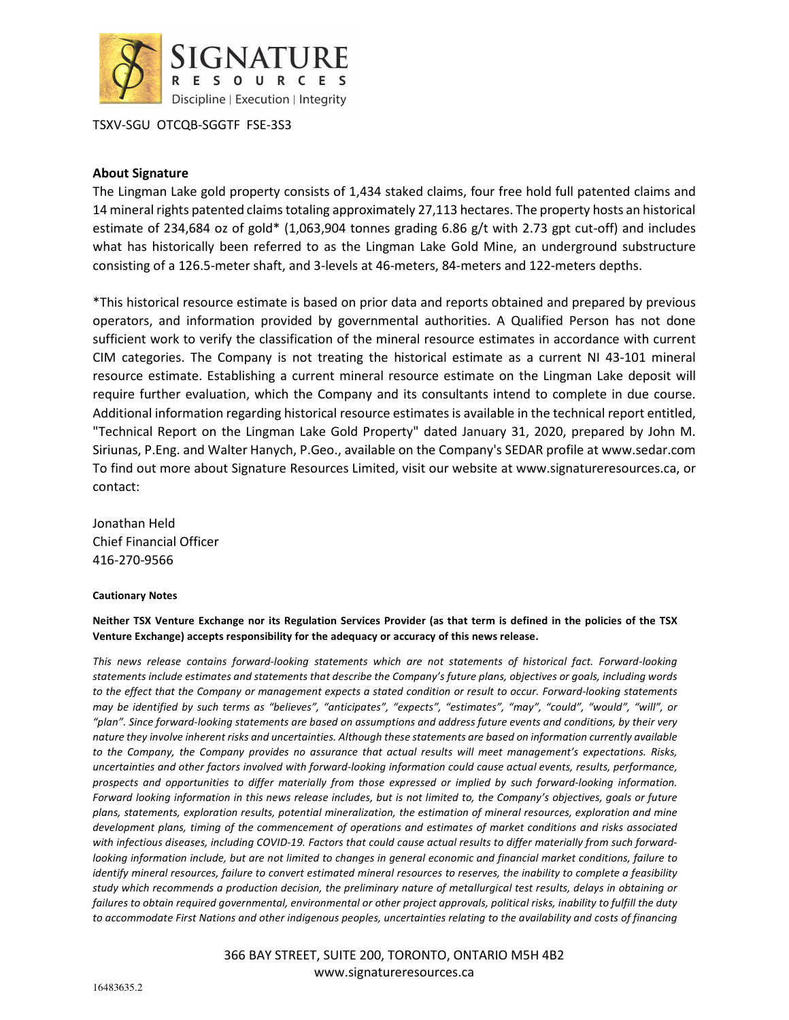

TSXV-SGU OTCQB-SGGTF FSE-3S3

## **About Signature**

The Lingman Lake gold property consists of 1,434 staked claims, four free hold full patented claims and 14 mineral rights patented claims totaling approximately 27,113 hectares. The property hosts an historical estimate of 234,684 oz of gold\* (1,063,904 tonnes grading 6.86 g/t with 2.73 gpt cut-off) and includes what has historically been referred to as the Lingman Lake Gold Mine, an underground substructure consisting of a 126.5-meter shaft, and 3-levels at 46-meters, 84-meters and 122-meters depths.

\*This historical resource estimate is based on prior data and reports obtained and prepared by previous operators, and information provided by governmental authorities. A Qualified Person has not done sufficient work to verify the classification of the mineral resource estimates in accordance with current CIM categories. The Company is not treating the historical estimate as a current NI 43-101 mineral resource estimate. Establishing a current mineral resource estimate on the Lingman Lake deposit will require further evaluation, which the Company and its consultants intend to complete in due course. Additional information regarding historical resource estimates is available in the technical report entitled, "Technical Report on the Lingman Lake Gold Property" dated January 31, 2020, prepared by John M. Siriunas, P.Eng. and Walter Hanych, P.Geo., available on the Company's SEDAR profile at www.sedar.com To find out more about Signature Resources Limited, visit our website at www.signatureresources.ca, or contact:

Jonathan Held Chief Financial Officer 416-270-9566

## **Cautionary Notes**

**Neither TSX Venture Exchange nor its Regulation Services Provider (as that term is defined in the policies of the TSX Venture Exchange) accepts responsibility for the adequacy or accuracy of this news release.**

*This news release contains forward-looking statements which are not statements of historical fact. Forward-looking statements include estimates and statements that describe the Company's future plans, objectives or goals, including words to the effect that the Company or management expects a stated condition or result to occur. Forward-looking statements may be identified by such terms as "believes", "anticipates", "expects", "estimates", "may", "could", "would", "will", or "plan". Since forward-looking statements are based on assumptions and address future events and conditions, by their very nature they involve inherent risks and uncertainties. Although these statements are based on information currently available to the Company, the Company provides no assurance that actual results will meet management's expectations. Risks, uncertainties and other factors involved with forward-looking information could cause actual events, results, performance, prospects and opportunities to differ materially from those expressed or implied by such forward-looking information. Forward looking information in this news release includes, but is not limited to, the Company's objectives, goals or future plans, statements, exploration results, potential mineralization, the estimation of mineral resources, exploration and mine development plans, timing of the commencement of operations and estimates of market conditions and risks associated with infectious diseases, including COVID-19. Factors that could cause actual results to differ materially from such forwardlooking information include, but are not limited to changes in general economic and financial market conditions, failure to identify mineral resources, failure to convert estimated mineral resources to reserves, the inability to complete a feasibility study which recommends a production decision, the preliminary nature of metallurgical test results, delays in obtaining or failures to obtain required governmental, environmental or other project approvals, political risks, inability to fulfill the duty to accommodate First Nations and other indigenous peoples, uncertainties relating to the availability and costs of financing* 

> 366 BAY STREET, SUITE 200, TORONTO, ONTARIO M5H 4B2 www.signatureresources.ca